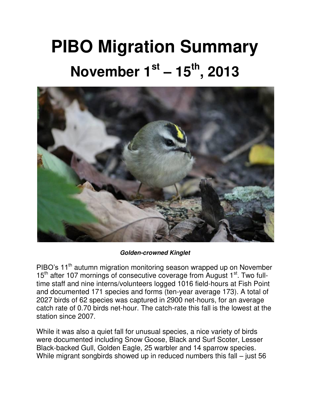## **PIBO Migration Summary November 1st – 15th, 2013**



## *Golden-crowned Kinglet*

PIBO's 11<sup>th</sup> autumn migration monitoring season wrapped up on November 15<sup>th</sup> after 107 mornings of consecutive coverage from August 1<sup>st</sup>. Two fulltime staff and nine interns/volunteers logged 1016 field-hours at Fish Point and documented 171 species and forms (ten-year average 173). A total of 2027 birds of 62 species was captured in 2900 net-hours, for an average catch rate of 0.70 birds net-hour. The catch-rate this fall is the lowest at the station since 2007.

While it was also a quiet fall for unusual species, a nice variety of birds were documented including Snow Goose, Black and Surf Scoter, Lesser Black-backed Gull, Golden Eagle, 25 warbler and 14 sparrow species. While migrant songbirds showed up in reduced numbers this fall – just 56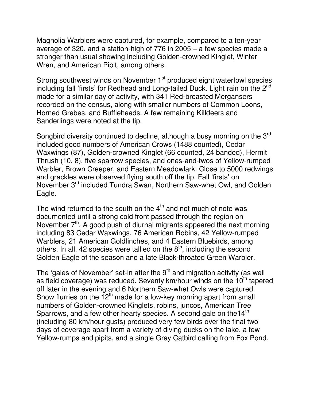Magnolia Warblers were captured, for example, compared to a ten-year average of 320, and a station-high of 776 in 2005 – a few species made a stronger than usual showing including Golden-crowned Kinglet, Winter Wren, and American Pipit, among others.

Strong southwest winds on November 1<sup>st</sup> produced eight waterfowl species including fall 'firsts' for Redhead and Long-tailed Duck. Light rain on the  $2^{nd}$ made for a similar day of activity, with 341 Red-breasted Mergansers recorded on the census, along with smaller numbers of Common Loons, Horned Grebes, and Buffleheads. A few remaining Killdeers and Sanderlings were noted at the tip.

Songbird diversity continued to decline, although a busy morning on the 3<sup>rd</sup> included good numbers of American Crows (1488 counted), Cedar Waxwings (87), Golden-crowned Kinglet (66 counted, 24 banded), Hermit Thrush (10, 8), five sparrow species, and ones-and-twos of Yellow-rumped Warbler, Brown Creeper, and Eastern Meadowlark. Close to 5000 redwings and grackles were observed flying south off the tip. Fall 'firsts' on November 3rd included Tundra Swan, Northern Saw-whet Owl, and Golden Eagle.

The wind returned to the south on the  $4<sup>th</sup>$  and not much of note was documented until a strong cold front passed through the region on November  $7<sup>th</sup>$ . A good push of diurnal migrants appeared the next morning including 83 Cedar Waxwings, 76 American Robins, 42 Yellow-rumped Warblers, 21 American Goldfinches, and 4 Eastern Bluebirds, among others. In all, 42 species were tallied on the  $8<sup>th</sup>$ , including the second Golden Eagle of the season and a late Black-throated Green Warbler.

The 'gales of November' set-in after the  $9<sup>th</sup>$  and migration activity (as well as field coverage) was reduced. Seventy  $km/h$ our winds on the 10<sup>th</sup> tapered off later in the evening and 6 Northern Saw-whet Owls were captured. Snow flurries on the  $12<sup>th</sup>$  made for a low-key morning apart from small numbers of Golden-crowned Kinglets, robins, juncos, American Tree Sparrows, and a few other hearty species. A second gale on the 14<sup>th</sup> (including 80 km/hour gusts) produced very few birds over the final two days of coverage apart from a variety of diving ducks on the lake, a few Yellow-rumps and pipits, and a single Gray Catbird calling from Fox Pond.